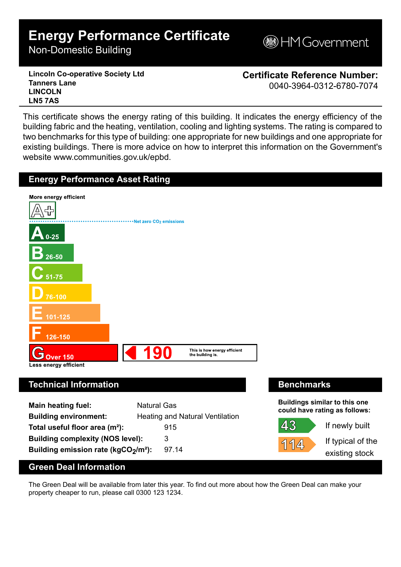# **Energy Performance Certificate**

Non-Domestic Building

**MGovernment** 

**Lincoln Co-operative Society Ltd Tanners Lane LINCOLN LN5 7AS**

**Certificate Reference Number:** 0040-3964-0312-6780-7074

This certificate shows the energy rating of this building. It indicates the energy efficiency of the building fabric and the heating, ventilation, cooling and lighting systems. The rating is compared to two benchmarks for this type of building: one appropriate for new buildings and one appropriate for existing buildings. There is more advice on how to interpret this information on the Government's website www.communities.gov.uk/epbd.



| <b>Main heating fuel:</b>                       | <b>Natural Gas</b>                     |
|-------------------------------------------------|----------------------------------------|
| <b>Building environment:</b>                    | <b>Heating and Natural Ventilation</b> |
| Total useful floor area $(m2)$ :                | 915                                    |
| <b>Building complexity (NOS level):</b>         | 3                                      |
| Building emission rate (kgCO2/m <sup>2</sup> ): | 97.14                                  |

**Buildings similar to this one could have rating as follows:**

43 114

If newly built

If typical of the existing stock

# **Green Deal Information**

The Green Deal will be available from later this year. To find out more about how the Green Deal can make your property cheaper to run, please call 0300 123 1234.